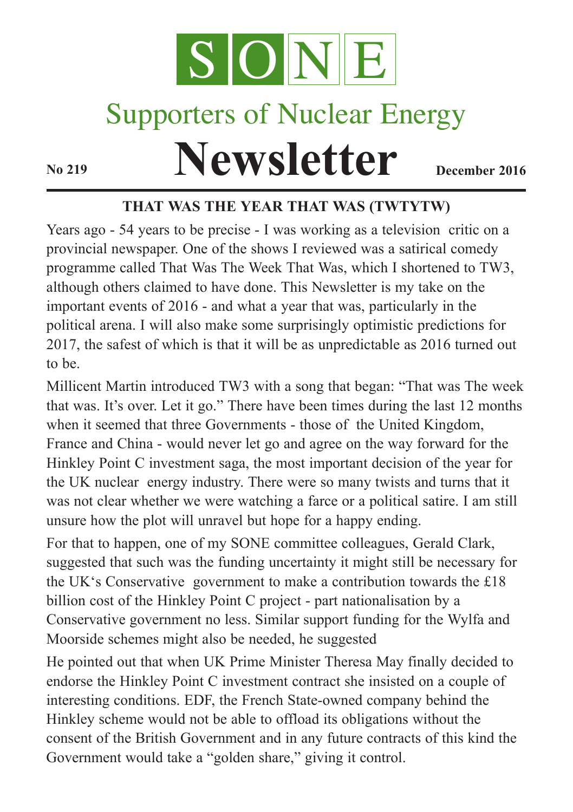

# Supporters of Nuclear Energy

**Newsletter December** 2016

## **THAT WAS THE YEAR THAT WAS (TWTYTW)**

Years ago - 54 years to be precise - I was working as a television critic on a provincial newspaper. One of the shows I reviewed was a satirical comedy programme called That Was The Week That Was, which I shortened to TW3, although others claimed to have done. This Newsletter is my take on the important events of 2016 - and what a year that was, particularly in the political arena. I will also make some surprisingly optimistic predictions for 2017, the safest of which is that it will be as unpredictable as 2016 turned out to be.

Millicent Martin introduced TW3 with a song that began: "That was The week that was. It's over. Let it go." There have been times during the last 12 months when it seemed that three Governments - those of the United Kingdom, France and China - would never let go and agree on the way forward for the Hinkley Point C investment saga, the most important decision of the year for the UK nuclear energy industry. There were so many twists and turns that it was not clear whether we were watching a farce or a political satire. I am still unsure how the plot will unravel but hope for a happy ending.

For that to happen, one of my SONE committee colleagues, Gerald Clark, suggested that such was the funding uncertainty it might still be necessary for the UK's Conservative government to make a contribution towards the £18 billion cost of the Hinkley Point C project - part nationalisation by a Conservative government no less. Similar support funding for the Wylfa and Moorside schemes might also be needed, he suggested

He pointed out that when UK Prime Minister Theresa May finally decided to endorse the Hinkley Point C investment contract she insisted on a couple of interesting conditions. EDF, the French State-owned company behind the Hinkley scheme would not be able to offload its obligations without the consent of the British Government and in any future contracts of this kind the Government would take a "golden share," giving it control.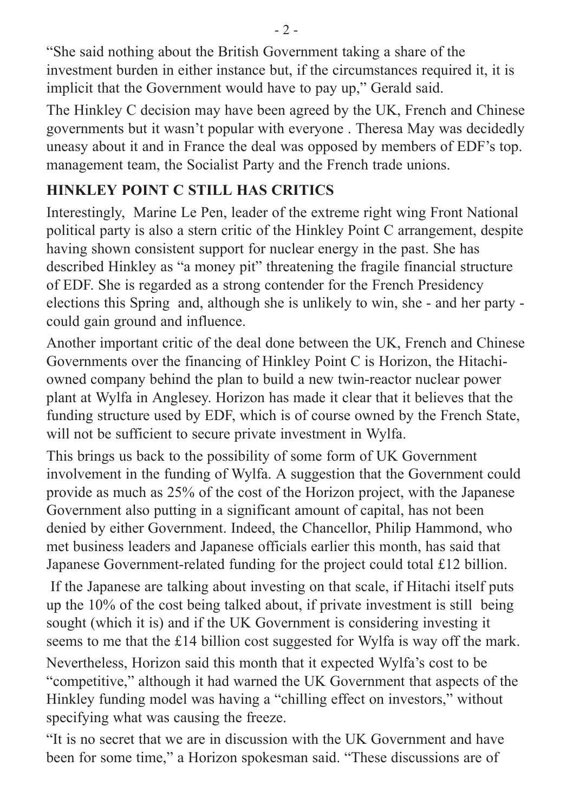"She said nothing about the British Government taking a share of the investment burden in either instance but, if the circumstances required it, it is implicit that the Government would have to pay up," Gerald said.

The Hinkley C decision may have been agreed by the UK, French and Chinese governments but it wasn't popular with everyone . Theresa May was decidedly uneasy about it and in France the deal was opposed by members of EDF's top. management team, the Socialist Party and the French trade unions.

## **HINKLEY POINT C STILL HAS CRITICS**

Interestingly, Marine Le Pen, leader of the extreme right wing Front National political party is also a stern critic of the Hinkley Point C arrangement, despite having shown consistent support for nuclear energy in the past. She has described Hinkley as "a money pit" threatening the fragile financial structure of EDF. She is regarded as a strong contender for the French Presidency elections this Spring and, although she is unlikely to win, she - and her party could gain ground and influence.

Another important critic of the deal done between the UK, French and Chinese Governments over the financing of Hinkley Point C is Horizon, the Hitachiowned company behind the plan to build a new twin-reactor nuclear power plant at Wylfa in Anglesey. Horizon has made it clear that it believes that the funding structure used by EDF, which is of course owned by the French State, will not be sufficient to secure private investment in Wylfa.

This brings us back to the possibility of some form of UK Government involvement in the funding of Wylfa. A suggestion that the Government could provide as much as 25% of the cost of the Horizon project, with the Japanese Government also putting in a significant amount of capital, has not been denied by either Government. Indeed, the Chancellor, Philip Hammond, who met business leaders and Japanese officials earlier this month, has said that Japanese Government-related funding for the project could total £12 billion.

If the Japanese are talking about investing on that scale, if Hitachi itself puts up the 10% of the cost being talked about, if private investment is still being sought (which it is) and if the UK Government is considering investing it seems to me that the £14 billion cost suggested for Wylfa is way off the mark. Nevertheless, Horizon said this month that it expected Wylfa's cost to be "competitive," although it had warned the UK Government that aspects of the Hinkley funding model was having a "chilling effect on investors," without specifying what was causing the freeze.

"It is no secret that we are in discussion with the UK Government and have been for some time," a Horizon spokesman said. "These discussions are of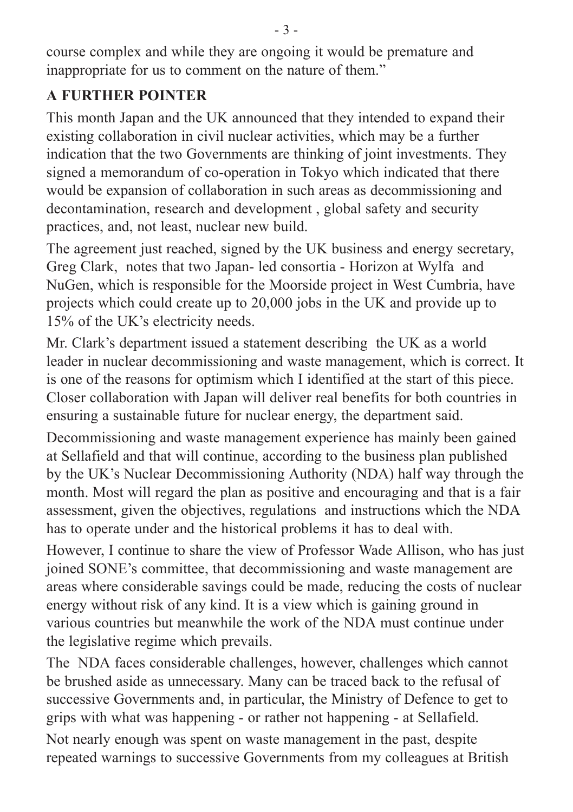course complex and while they are ongoing it would be premature and inappropriate for us to comment on the nature of them."

## **A FURTHER POINTER**

This month Japan and the UK announced that they intended to expand their existing collaboration in civil nuclear activities, which may be a further indication that the two Governments are thinking of joint investments. They signed a memorandum of co-operation in Tokyo which indicated that there would be expansion of collaboration in such areas as decommissioning and decontamination, research and development , global safety and security practices, and, not least, nuclear new build.

The agreement just reached, signed by the UK business and energy secretary, Greg Clark, notes that two Japan- led consortia - Horizon at Wylfa and NuGen, which is responsible for the Moorside project in West Cumbria, have projects which could create up to 20,000 jobs in the UK and provide up to 15% of the UK's electricity needs.

Mr. Clark's department issued a statement describing the UK as a world leader in nuclear decommissioning and waste management, which is correct. It is one of the reasons for optimism which I identified at the start of this piece. Closer collaboration with Japan will deliver real benefits for both countries in ensuring a sustainable future for nuclear energy, the department said.

Decommissioning and waste management experience has mainly been gained at Sellafield and that will continue, according to the business plan published by the UK's Nuclear Decommissioning Authority (NDA) half way through the month. Most will regard the plan as positive and encouraging and that is a fair assessment, given the objectives, regulations and instructions which the NDA has to operate under and the historical problems it has to deal with.

However, I continue to share the view of Professor Wade Allison, who has just joined SONE's committee, that decommissioning and waste management are areas where considerable savings could be made, reducing the costs of nuclear energy without risk of any kind. It is a view which is gaining ground in various countries but meanwhile the work of the NDA must continue under the legislative regime which prevails.

The NDA faces considerable challenges, however, challenges which cannot be brushed aside as unnecessary. Many can be traced back to the refusal of successive Governments and, in particular, the Ministry of Defence to get to grips with what was happening - or rather not happening - at Sellafield.

Not nearly enough was spent on waste management in the past, despite repeated warnings to successive Governments from my colleagues at British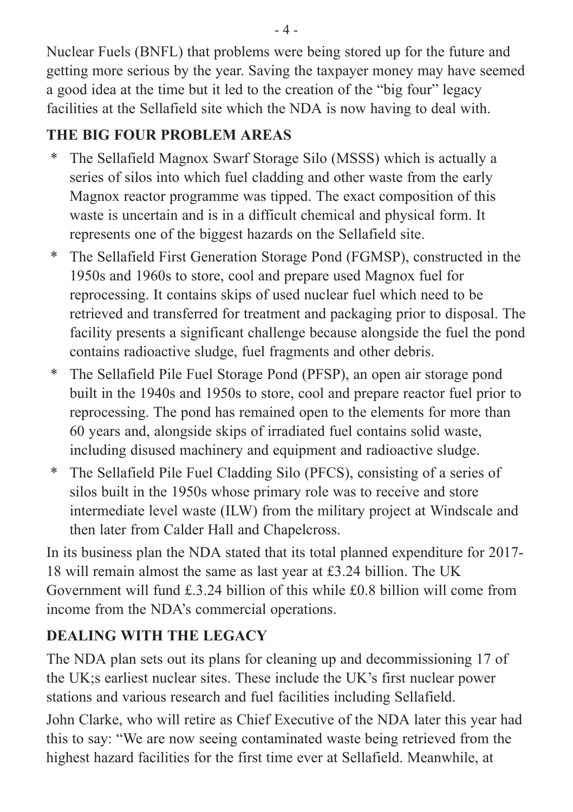Nuclear Fuels (BNFL) that problems were being stored up for the future and getting more serious by the year. Saving the taxpayer money may have seemed a good idea at the time but it led to the creation of the "big four" legacy facilities at the Sellafield site which the NDA is now having to deal with.

## **THE BIG FOUR PROBLEM AREAS**

- \* The Sellafield Magnox Swarf Storage Silo (MSSS) which is actually a series of silos into which fuel cladding and other waste from the early Magnox reactor programme was tipped. The exact composition of this waste is uncertain and is in a difficult chemical and physical form. It represents one of the biggest hazards on the Sellafield site.
- \* The Sellafield First Generation Storage Pond (FGMSP), constructed in the 1950s and 1960s to store, cool and prepare used Magnox fuel for reprocessing. It contains skips of used nuclear fuel which need to be retrieved and transferred for treatment and packaging prior to disposal. The facility presents a significant challenge because alongside the fuel the pond contains radioactive sludge, fuel fragments and other debris.
- \* The Sellafield Pile Fuel Storage Pond (PFSP), an open air storage pond built in the 1940s and 1950s to store, cool and prepare reactor fuel prior to reprocessing. The pond has remained open to the elements for more than 60 years and, alongside skips of irradiated fuel contains solid waste, including disused machinery and equipment and radioactive sludge.
- \* The Sellafield Pile Fuel Cladding Silo (PFCS), consisting of a series of silos built in the 1950s whose primary role was to receive and store intermediate level waste (ILW) from the military project at Windscale and then later from Calder Hall and Chapelcross.

In its business plan the NDA stated that its total planned expenditure for 2017- 18 will remain almost the same as last year at £3.24 billion. The UK Government will fund £.3.24 billion of this while £0.8 billion will come from income from the NDA's commercial operations.

## **DEALING WITH THE LEGACY**

The NDA plan sets out its plans for cleaning up and decommissioning 17 of the UK;s earliest nuclear sites. These include the UK's first nuclear power stations and various research and fuel facilities including Sellafield.

John Clarke, who will retire as Chief Executive of the NDA later this year had this to say: "We are now seeing contaminated waste being retrieved from the highest hazard facilities for the first time ever at Sellafield. Meanwhile, at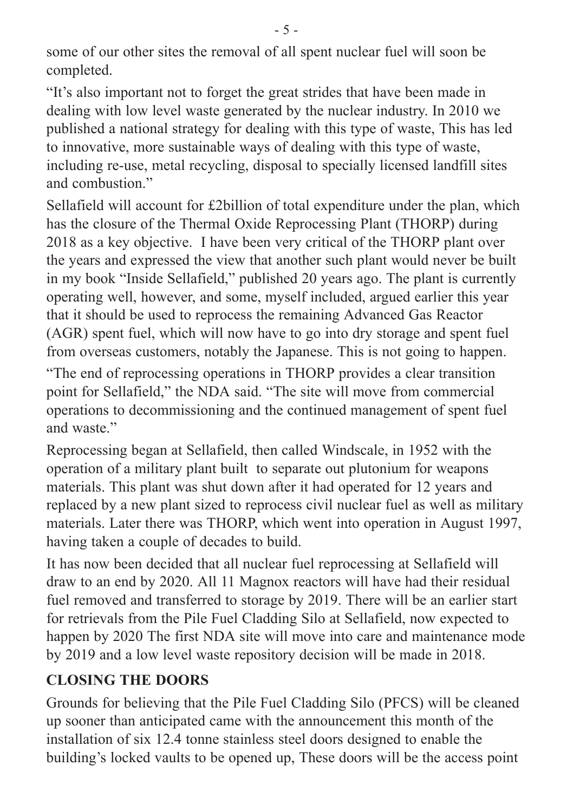some of our other sites the removal of all spent nuclear fuel will soon be completed.

"It's also important not to forget the great strides that have been made in dealing with low level waste generated by the nuclear industry. In 2010 we published a national strategy for dealing with this type of waste, This has led to innovative, more sustainable ways of dealing with this type of waste, including re-use, metal recycling, disposal to specially licensed landfill sites and combustion."

Sellafield will account for £2billion of total expenditure under the plan, which has the closure of the Thermal Oxide Reprocessing Plant (THORP) during 2018 as a key objective. I have been very critical of the THORP plant over the years and expressed the view that another such plant would never be built in my book "Inside Sellafield," published 20 years ago. The plant is currently operating well, however, and some, myself included, argued earlier this year that it should be used to reprocess the remaining Advanced Gas Reactor (AGR) spent fuel, which will now have to go into dry storage and spent fuel from overseas customers, notably the Japanese. This is not going to happen.

"The end of reprocessing operations in THORP provides a clear transition point for Sellafield," the NDA said. "The site will move from commercial operations to decommissioning and the continued management of spent fuel and waste."

Reprocessing began at Sellafield, then called Windscale, in 1952 with the operation of a military plant built to separate out plutonium for weapons materials. This plant was shut down after it had operated for 12 years and replaced by a new plant sized to reprocess civil nuclear fuel as well as military materials. Later there was THORP, which went into operation in August 1997, having taken a couple of decades to build.

It has now been decided that all nuclear fuel reprocessing at Sellafield will draw to an end by 2020. All 11 Magnox reactors will have had their residual fuel removed and transferred to storage by 2019. There will be an earlier start for retrievals from the Pile Fuel Cladding Silo at Sellafield, now expected to happen by 2020 The first NDA site will move into care and maintenance mode by 2019 and a low level waste repository decision will be made in 2018.

## **CLOSING THE DOORS**

Grounds for believing that the Pile Fuel Cladding Silo (PFCS) will be cleaned up sooner than anticipated came with the announcement this month of the installation of six 12.4 tonne stainless steel doors designed to enable the building's locked vaults to be opened up, These doors will be the access point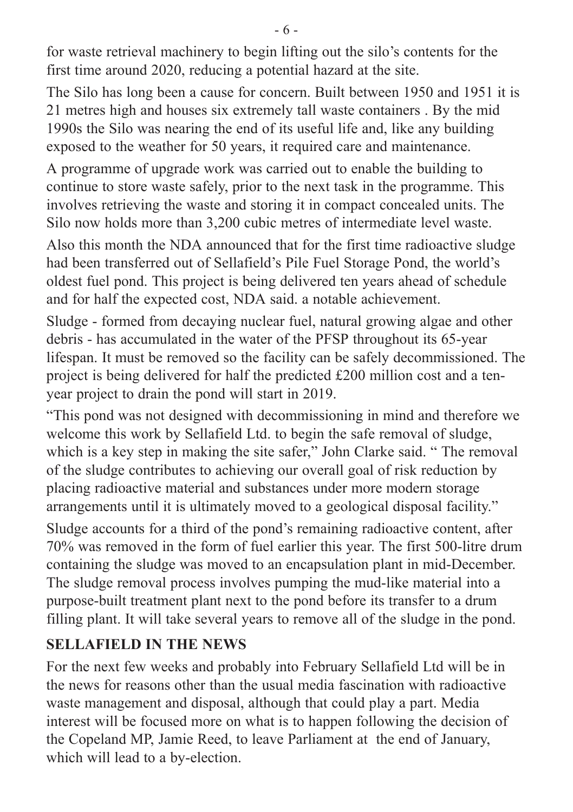for waste retrieval machinery to begin lifting out the silo's contents for the first time around 2020, reducing a potential hazard at the site.

The Silo has long been a cause for concern. Built between 1950 and 1951 it is 21 metres high and houses six extremely tall waste containers . By the mid 1990s the Silo was nearing the end of its useful life and, like any building exposed to the weather for 50 years, it required care and maintenance.

A programme of upgrade work was carried out to enable the building to continue to store waste safely, prior to the next task in the programme. This involves retrieving the waste and storing it in compact concealed units. The Silo now holds more than 3,200 cubic metres of intermediate level waste.

Also this month the NDA announced that for the first time radioactive sludge had been transferred out of Sellafield's Pile Fuel Storage Pond, the world's oldest fuel pond. This project is being delivered ten years ahead of schedule and for half the expected cost, NDA said. a notable achievement.

Sludge - formed from decaying nuclear fuel, natural growing algae and other debris - has accumulated in the water of the PFSP throughout its 65-year lifespan. It must be removed so the facility can be safely decommissioned. The project is being delivered for half the predicted £200 million cost and a tenyear project to drain the pond will start in 2019.

"This pond was not designed with decommissioning in mind and therefore we welcome this work by Sellafield Ltd. to begin the safe removal of sludge, which is a key step in making the site safer," John Clarke said. " The removal of the sludge contributes to achieving our overall goal of risk reduction by placing radioactive material and substances under more modern storage arrangements until it is ultimately moved to a geological disposal facility." Sludge accounts for a third of the pond's remaining radioactive content, after 70% was removed in the form of fuel earlier this year. The first 500-litre drum containing the sludge was moved to an encapsulation plant in mid-December. The sludge removal process involves pumping the mud-like material into a purpose-built treatment plant next to the pond before its transfer to a drum filling plant. It will take several years to remove all of the sludge in the pond.

## **SELLAFIELD IN THE NEWS**

For the next few weeks and probably into February Sellafield Ltd will be in the news for reasons other than the usual media fascination with radioactive waste management and disposal, although that could play a part. Media interest will be focused more on what is to happen following the decision of the Copeland MP, Jamie Reed, to leave Parliament at the end of January, which will lead to a by-election.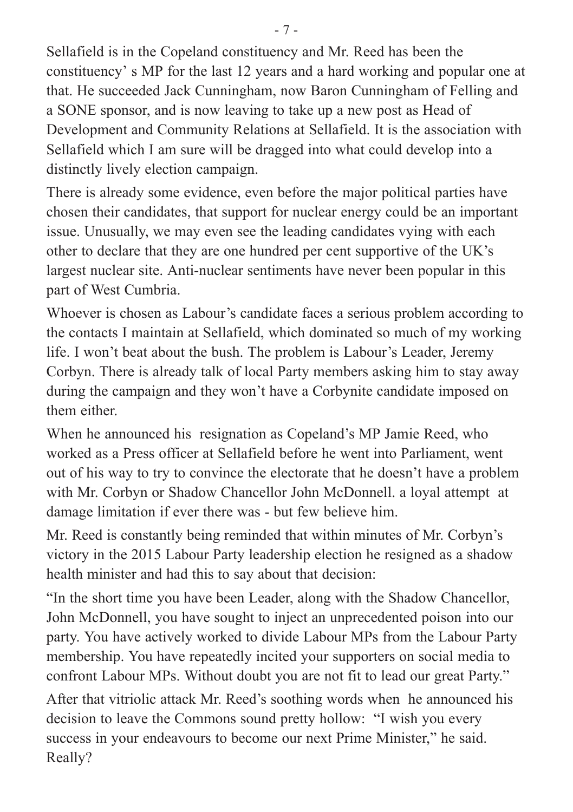Sellafield is in the Copeland constituency and Mr. Reed has been the constituency' s MP for the last 12 years and a hard working and popular one at that. He succeeded Jack Cunningham, now Baron Cunningham of Felling and a SONE sponsor, and is now leaving to take up a new post as Head of Development and Community Relations at Sellafield. It is the association with Sellafield which I am sure will be dragged into what could develop into a distinctly lively election campaign.

There is already some evidence, even before the major political parties have chosen their candidates, that support for nuclear energy could be an important issue. Unusually, we may even see the leading candidates vying with each other to declare that they are one hundred per cent supportive of the UK's largest nuclear site. Anti-nuclear sentiments have never been popular in this part of West Cumbria.

Whoever is chosen as Labour's candidate faces a serious problem according to the contacts I maintain at Sellafield, which dominated so much of my working life. I won't beat about the bush. The problem is Labour's Leader, Jeremy Corbyn. There is already talk of local Party members asking him to stay away during the campaign and they won't have a Corbynite candidate imposed on them either.

When he announced his resignation as Copeland's MP Jamie Reed, who worked as a Press officer at Sellafield before he went into Parliament, went out of his way to try to convince the electorate that he doesn't have a problem with Mr. Corbyn or Shadow Chancellor John McDonnell. a loyal attempt at damage limitation if ever there was - but few believe him.

Mr. Reed is constantly being reminded that within minutes of Mr. Corbyn's victory in the 2015 Labour Party leadership election he resigned as a shadow health minister and had this to say about that decision:

"In the short time you have been Leader, along with the Shadow Chancellor, John McDonnell, you have sought to inject an unprecedented poison into our party. You have actively worked to divide Labour MPs from the Labour Party membership. You have repeatedly incited your supporters on social media to confront Labour MPs. Without doubt you are not fit to lead our great Party."

After that vitriolic attack Mr. Reed's soothing words when he announced his decision to leave the Commons sound pretty hollow: "I wish you every success in your endeavours to become our next Prime Minister," he said. Really?